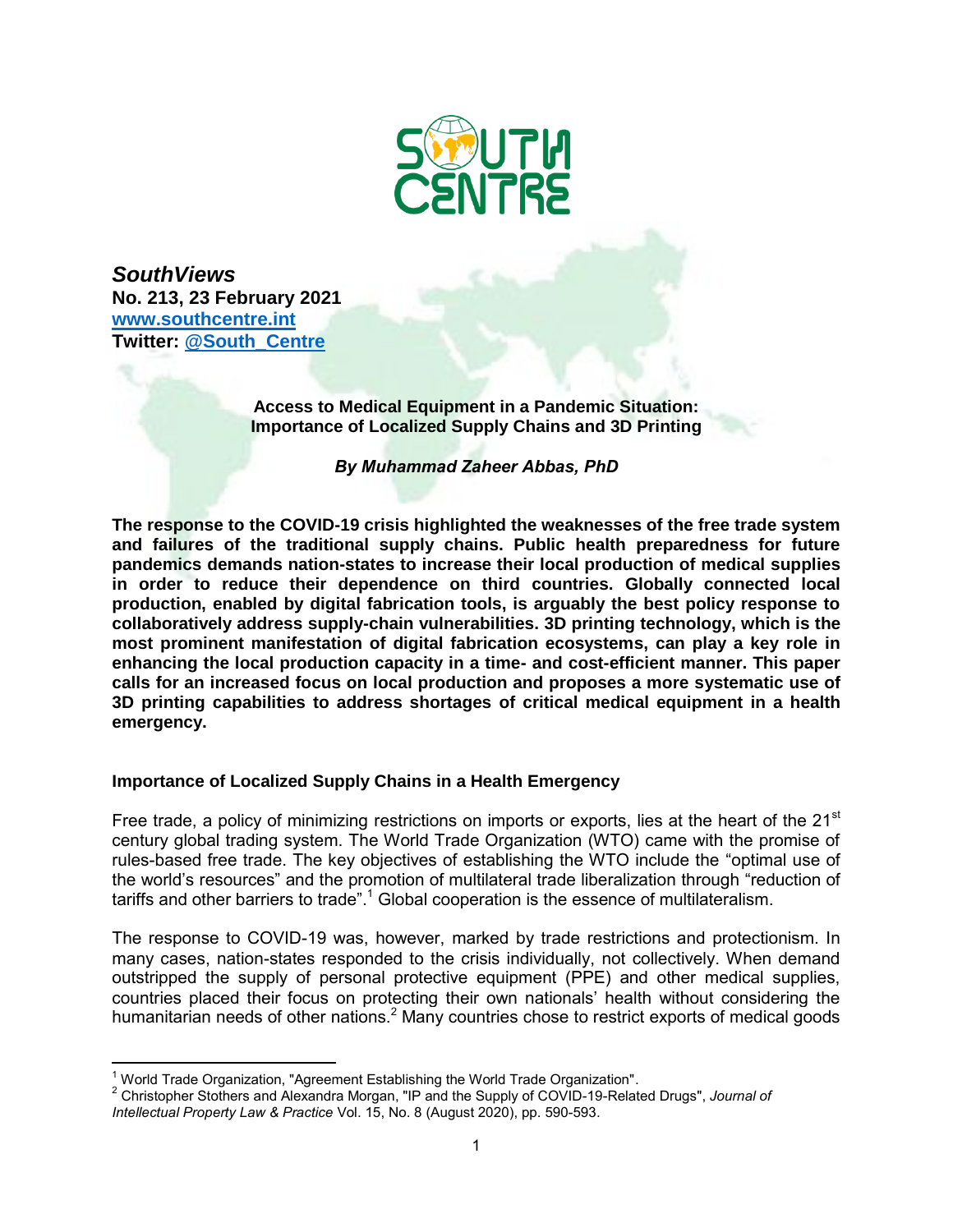

*SouthViews*  **No. 213, 23 February 2021 www.southcentre.int Twitter: @South\_Centre**

> **Access to Medical Equipment in a Pandemic Situation: Importance of Localized Supply Chains and 3D Printing**

> > *By Muhammad Zaheer Abbas, PhD*

**The response to the COVID-19 crisis highlighted the weaknesses of the free trade system and failures of the traditional supply chains. Public health preparedness for future pandemics demands nation-states to increase their local production of medical supplies in order to reduce their dependence on third countries. Globally connected local production, enabled by digital fabrication tools, is arguably the best policy response to collaboratively address supply-chain vulnerabilities. 3D printing technology, which is the most prominent manifestation of digital fabrication ecosystems, can play a key role in enhancing the local production capacity in a time- and cost-efficient manner. This paper calls for an increased focus on local production and proposes a more systematic use of 3D printing capabilities to address shortages of critical medical equipment in a health emergency.** 

## **Importance of Localized Supply Chains in a Health Emergency**

Free trade, a policy of minimizing restrictions on imports or exports, lies at the heart of the  $21<sup>st</sup>$ century global trading system. The World Trade Organization (WTO) came with the promise of rules-based free trade. The key objectives of establishing the WTO include the "optimal use of the world's resources" and the promotion of multilateral trade liberalization through "reduction of tariffs and other barriers to trade". $^{\rm 1}$  Global cooperation is the essence of multilateralism.

The response to COVID-19 was, however, marked by trade restrictions and protectionism. In many cases, nation-states responded to the crisis individually, not collectively. When demand outstripped the supply of personal protective equipment (PPE) and other medical supplies, countries placed their focus on protecting their own nationals' health without considering the humanitarian needs of other nations.<sup>2</sup> Many countries chose to restrict exports of medical goods

 $\overline{a}$  $\frac{1}{2}$ World Trade Organization, "Agreement Establishing the World Trade Organization".

<sup>2</sup> Christopher Stothers and Alexandra Morgan, "IP and the Supply of COVID-19-Related Drugs", *Journal of Intellectual Property Law & Practice* Vol. 15, No. 8 (August 2020), pp. 590-593.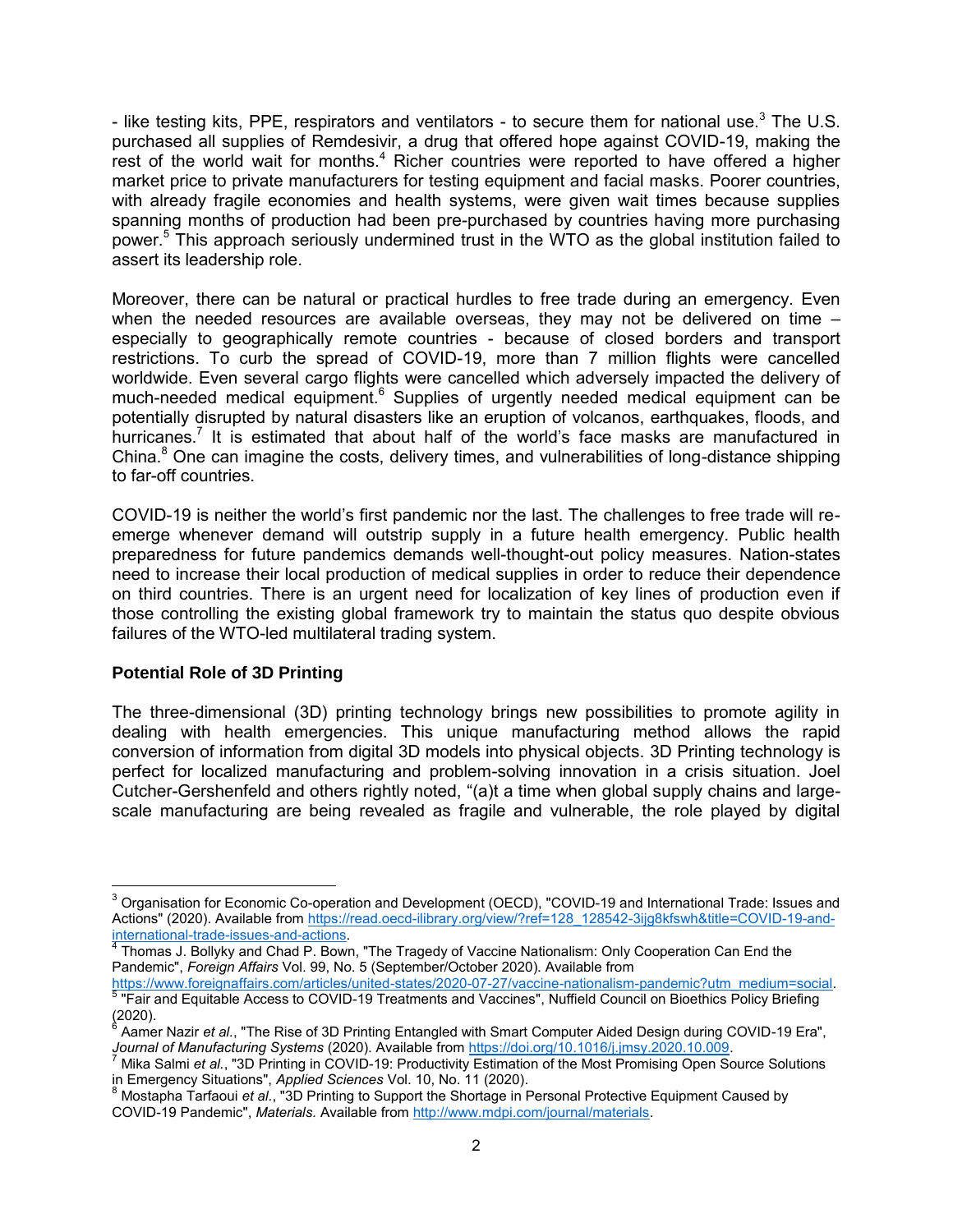- like testing kits, PPE, respirators and ventilators - to secure them for national use.<sup>3</sup> The U.S. purchased all supplies of Remdesivir, a drug that offered hope against COVID-19, making the rest of the world wait for months. $4$  Richer countries were reported to have offered a higher market price to private manufacturers for testing equipment and facial masks. Poorer countries, with already fragile economies and health systems, were given wait times because supplies spanning months of production had been pre-purchased by countries having more purchasing power.<sup>5</sup> This approach seriously undermined trust in the WTO as the global institution failed to assert its leadership role.

Moreover, there can be natural or practical hurdles to free trade during an emergency. Even when the needed resources are available overseas, they may not be delivered on time – especially to geographically remote countries - because of closed borders and transport restrictions. To curb the spread of COVID-19, more than 7 million flights were cancelled worldwide. Even several cargo flights were cancelled which adversely impacted the delivery of much-needed medical equipment. $^6$  Supplies of urgently needed medical equipment can be potentially disrupted by natural disasters like an eruption of volcanos, earthquakes, floods, and hurricanes.<sup>7</sup> It is estimated that about half of the world's face masks are manufactured in China.<sup>8</sup> One can imagine the costs, delivery times, and vulnerabilities of long-distance shipping to far-off countries.

COVID-19 is neither the world's first pandemic nor the last. The challenges to free trade will reemerge whenever demand will outstrip supply in a future health emergency. Public health preparedness for future pandemics demands well-thought-out policy measures. Nation-states need to increase their local production of medical supplies in order to reduce their dependence on third countries. There is an urgent need for localization of key lines of production even if those controlling the existing global framework try to maintain the status quo despite obvious failures of the WTO-led multilateral trading system.

## **Potential Role of 3D Printing**

The three-dimensional (3D) printing technology brings new possibilities to promote agility in dealing with health emergencies. This unique manufacturing method allows the rapid conversion of information from digital 3D models into physical objects. 3D Printing technology is perfect for localized manufacturing and problem-solving innovation in a crisis situation. Joel Cutcher-Gershenfeld and others rightly noted, "(a)t a time when global supply chains and largescale manufacturing are being revealed as fragile and vulnerable, the role played by digital

 3 Organisation for Economic Co-operation and Development (OECD), "COVID-19 and International Trade: Issues and Actions" (2020). Available from https://read.oecd-ilibrary.org/view/?ref=128\_128542-3ijg8kfswh&title=COVID-19-and-

<sup>&</sup>lt;u>international-trade-issues-and-actions</u>.<br><sup>4</sup> Thomas J. Bollyky and Chad P. Bown, "The Tragedy of Vaccine Nationalism: Only Cooperation Can End the Pandemic", *Foreign Affairs* Vol. 99, No. 5 (September/October 2020). Available from

<sup>&</sup>lt;u>https://www.foreignaffairs.com/articles/united-states/2020-07-27/vaccine-nationalism-pandemic?utm\_medium=social.</u><br><sup>5</sup> "Fair and Equitable Access to COVID-19 Treatments and Vaccines", Nuffield Council on Bioethics Policy B

<sup>(2020).</sup> 6 Aamer Nazir *et al.*, "The Rise of 3D Printing Entangled with Smart Computer Aided Design during COVID-19 Era",

*Journal of Manufacturing Systems* (2020). Available from <u>https://doi.org/10.1016/j.jmsy.2020.10.009</u>.<br><sup>7</sup> Mika Salmi *et al.*, "3D Printing in COVID-19: Productivity Estimation of the Most Promising Open Source Solutions in Emergency Situations", *Applied Sciences* Vol. 10, No. 11 (2020).

<sup>8</sup> Mostapha Tarfaoui *et al.*, "3D Printing to Support the Shortage in Personal Protective Equipment Caused by COVID-19 Pandemic", *Materials.* Available from http://www.mdpi.com/journal/materials.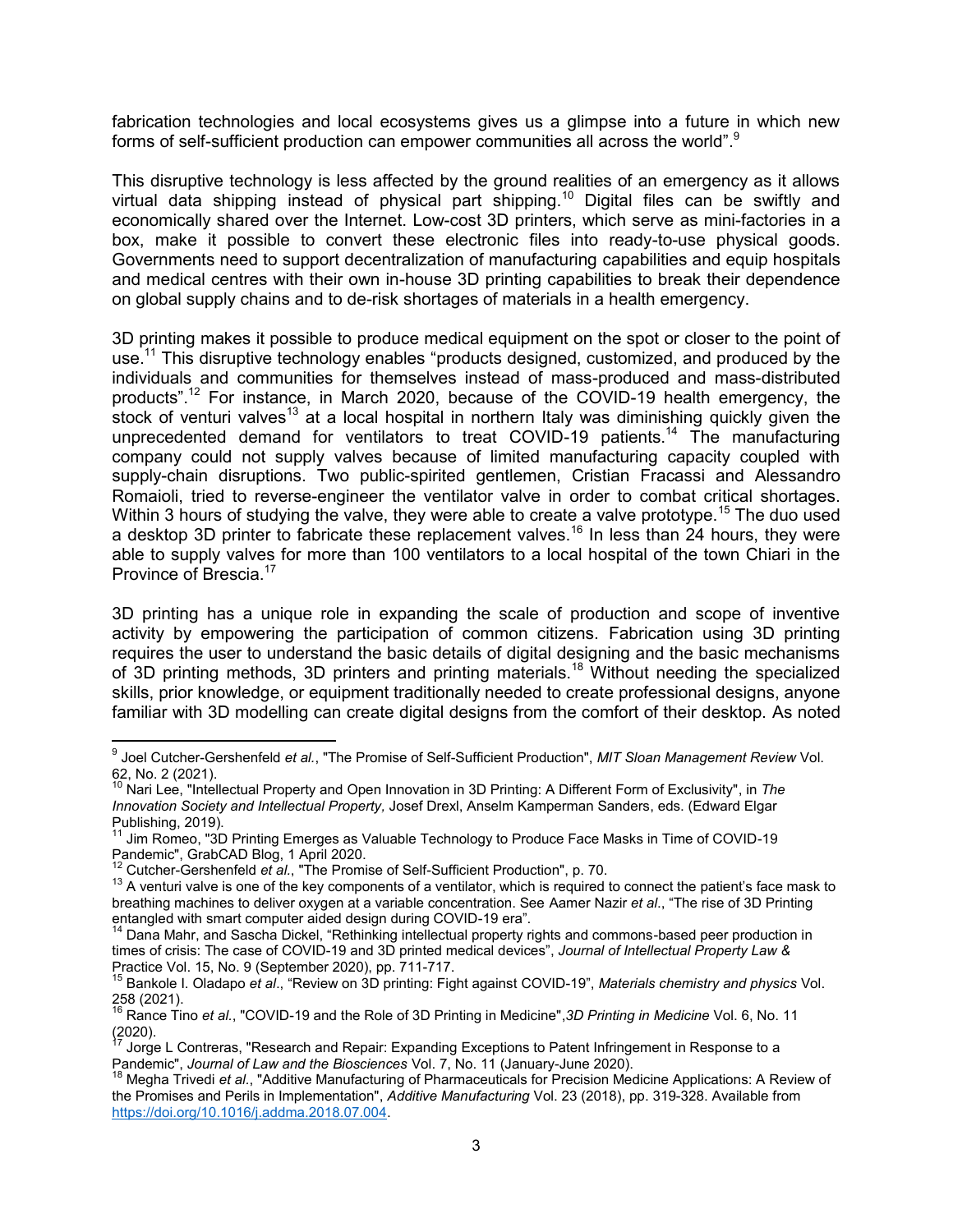fabrication technologies and local ecosystems gives us a glimpse into a future in which new forms of self-sufficient production can empower communities all across the world".<sup>9</sup>

This disruptive technology is less affected by the ground realities of an emergency as it allows virtual data shipping instead of physical part shipping.<sup>10</sup> Digital files can be swiftly and economically shared over the Internet. Low-cost 3D printers, which serve as mini-factories in a box, make it possible to convert these electronic files into ready-to-use physical goods. Governments need to support decentralization of manufacturing capabilities and equip hospitals and medical centres with their own in-house 3D printing capabilities to break their dependence on global supply chains and to de-risk shortages of materials in a health emergency.

3D printing makes it possible to produce medical equipment on the spot or closer to the point of use.<sup>11</sup> This disruptive technology enables "products designed, customized, and produced by the individuals and communities for themselves instead of mass-produced and mass-distributed products".<sup>12</sup> For instance, in March 2020, because of the COVID-19 health emergency, the stock of venturi valves<sup>13</sup> at a local hospital in northern Italy was diminishing quickly given the unprecedented demand for ventilators to treat COVID-19 patients.<sup>14</sup> The manufacturing company could not supply valves because of limited manufacturing capacity coupled with supply-chain disruptions. Two public-spirited gentlemen, Cristian Fracassi and Alessandro Romaioli, tried to reverse-engineer the ventilator valve in order to combat critical shortages. Within 3 hours of studying the valve, they were able to create a valve prototype.<sup>15</sup> The duo used a desktop 3D printer to fabricate these replacement valves.<sup>16</sup> In less than 24 hours, they were able to supply valves for more than 100 ventilators to a local hospital of the town Chiari in the Province of Brescia.<sup>17</sup>

3D printing has a unique role in expanding the scale of production and scope of inventive activity by empowering the participation of common citizens. Fabrication using 3D printing requires the user to understand the basic details of digital designing and the basic mechanisms of 3D printing methods, 3D printers and printing materials.<sup>18</sup> Without needing the specialized skills, prior knowledge, or equipment traditionally needed to create professional designs, anyone familiar with 3D modelling can create digital designs from the comfort of their desktop. As noted

 $\overline{\phantom{a}}$ 

<sup>9</sup> Joel Cutcher-Gershenfeld *et al.*, "The Promise of Self-Sufficient Production", *MIT Sloan Management Review* Vol. 62, No. 2 (2021).

<sup>10</sup> Nari Lee, "Intellectual Property and Open Innovation in 3D Printing: A Different Form of Exclusivity", in *The Innovation Society and Intellectual Property,* Josef Drexl, Anselm Kamperman Sanders, eds. (Edward Elgar Publishing, 2019).

<sup>11</sup> Jim Romeo, "3D Printing Emerges as Valuable Technology to Produce Face Masks in Time of COVID-19 Pandemic", GrabCAD Blog, 1 April 2020.

<sup>12</sup> Cutcher-Gershenfeld *et al.*, "The Promise of Self-Sufficient Production", p. 70.

<sup>&</sup>lt;sup>13</sup> A venturi valve is one of the key components of a ventilator, which is required to connect the patient's face mask to breathing machines to deliver oxygen at a variable concentration. See Aamer Nazir *et al*., "The rise of 3D Printing entangled with smart computer aided design during COVID-19 era".

<sup>&</sup>lt;sup>14</sup> Dana Mahr, and Sascha Dickel, "Rethinking intellectual property rights and commons-based peer production in times of crisis: The case of COVID-19 and 3D printed medical devices", *Journal of Intellectual Property Law &*  Practice Vol. 15, No. 9 (September 2020), pp. 711-717.

<sup>15</sup> Bankole I. Oladapo *et al*., "Review on 3D printing: Fight against COVID-19", *Materials chemistry and physics* Vol.

<sup>258 (2021).</sup> <sup>16</sup> Rance Tino *et al.*, "COVID-19 and the Role of 3D Printing in Medicine",*3D Printing in Medicine* Vol. 6, No. 11  $(2020)$ .

<sup>17</sup> Jorge L Contreras, "Research and Repair: Expanding Exceptions to Patent Infringement in Response to a Pandemic", *Journal of Law and the Biosciences* Vol. 7, No. 11 (January-June 2020).

<sup>18</sup> Megha Trivedi *et al.*, "Additive Manufacturing of Pharmaceuticals for Precision Medicine Applications: A Review of the Promises and Perils in Implementation", *Additive Manufacturing* Vol. 23 (2018), pp. 319-328. Available from https://doi.org/10.1016/j.addma.2018.07.004.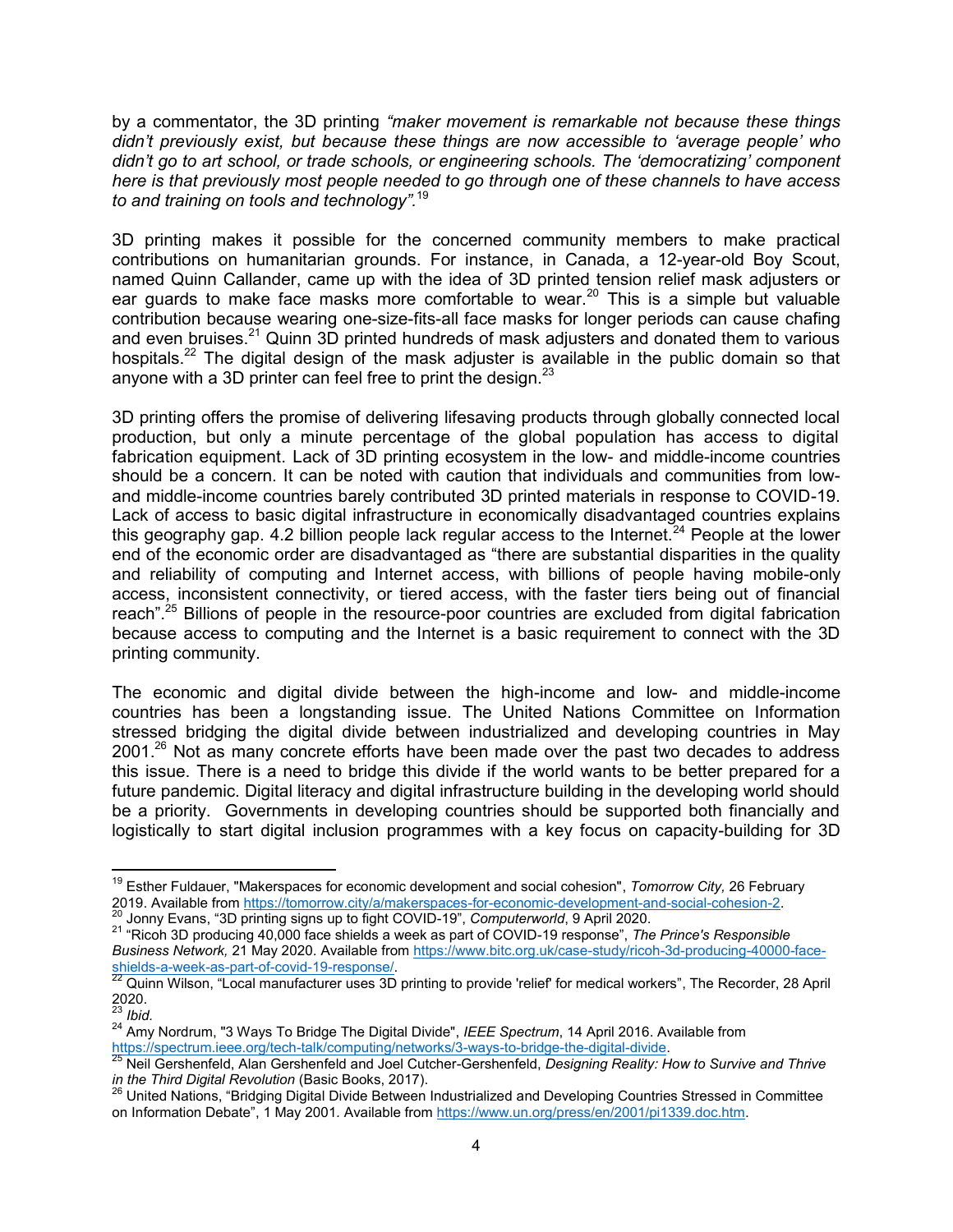by a commentator, the 3D printing *"maker movement is remarkable not because these things didn't previously exist, but because these things are now accessible to 'average people' who didn't go to art school, or trade schools, or engineering schools. The 'democratizing' component here is that previously most people needed to go through one of these channels to have access to and training on tools and technology".*<sup>19</sup>

3D printing makes it possible for the concerned community members to make practical contributions on humanitarian grounds. For instance, in Canada, a 12-year-old Boy Scout, named Quinn Callander, came up with the idea of 3D printed tension relief mask adjusters or ear guards to make face masks more comfortable to wear.<sup>20</sup> This is a simple but valuable contribution because wearing one-size-fits-all face masks for longer periods can cause chafing and even bruises.<sup>21</sup> Quinn  $3\overline{D}$  printed hundreds of mask adjusters and donated them to various hospitals.<sup>22</sup> The digital design of the mask adjuster is available in the public domain so that anyone with a 3D printer can feel free to print the design. $^{23}$ 

3D printing offers the promise of delivering lifesaving products through globally connected local production, but only a minute percentage of the global population has access to digital fabrication equipment. Lack of 3D printing ecosystem in the low- and middle-income countries should be a concern. It can be noted with caution that individuals and communities from lowand middle-income countries barely contributed 3D printed materials in response to COVID-19. Lack of access to basic digital infrastructure in economically disadvantaged countries explains this geography gap. 4.2 billion people lack regular access to the Internet.<sup>24</sup> People at the lower end of the economic order are disadvantaged as "there are substantial disparities in the quality and reliability of computing and Internet access, with billions of people having mobile-only access, inconsistent connectivity, or tiered access, with the faster tiers being out of financial reach".<sup>25</sup> Billions of people in the resource-poor countries are excluded from digital fabrication because access to computing and the Internet is a basic requirement to connect with the 3D printing community.

The economic and digital divide between the high-income and low- and middle-income countries has been a longstanding issue. The United Nations Committee on Information stressed bridging the digital divide between industrialized and developing countries in May  $2001<sup>26</sup>$  Not as many concrete efforts have been made over the past two decades to address this issue. There is a need to bridge this divide if the world wants to be better prepared for a future pandemic. Digital literacy and digital infrastructure building in the developing world should be a priority. Governments in developing countries should be supported both financially and logistically to start digital inclusion programmes with a key focus on capacity-building for 3D

 $\overline{\phantom{a}}$ 

<sup>19</sup> Esther Fuldauer, "Makerspaces for economic development and social cohesion", *Tomorrow City,* 26 February 2019. Available from https://tomorrow.city/a/makerspaces-for-economic-development-and-social-cohesion-2.<br><sup>20</sup> Janny Fygne <sup>42</sup> Detailed and the state of the 4th OCU/ID 40<sup>2</sup> Detailed and the social-cohesion-2. <sup>20</sup> Jonny Evans, "3D printing signs up to fight COVID-19", *Computerworld*, 9 April 2020.

<sup>21</sup> "Ricoh 3D producing 40,000 face shields a week as part of COVID-19 response", *The Prince's Responsible Business Network,* 21 May 2020. Available from https://www.bitc.org.uk/case-study/ricoh-3d-producing-40000-face-

shields-a-week-as-part-of-covid-19-response/.  $^{22}$  Quinn Wilson, "Local manufacturer uses 3D printing to provide 'relief' for medical workers", The Recorder, 28 April

 $2020.$ <sup>23</sup> *Ibid.*

<sup>24</sup> Amy Nordrum, "3 Ways To Bridge The Digital Divide", *IEEE Spectrum*, 14 April 2016. Available from https://spectrum.ieee.org/tech-talk/computing/networks/3-ways-to-bridge-the-digital-divide.

<sup>25</sup> Neil Gershenfeld, Alan Gershenfeld and Joel Cutcher-Gershenfeld, *Designing Reality: How to Survive and Thrive in the Third Digital Revolution* (Basic Books, 2017).

 $^{26}$  United Nations, "Bridging Digital Divide Between Industrialized and Developing Countries Stressed in Committee on Information Debate", 1 May 2001*.* Available from https://www.un.org/press/en/2001/pi1339.doc.htm.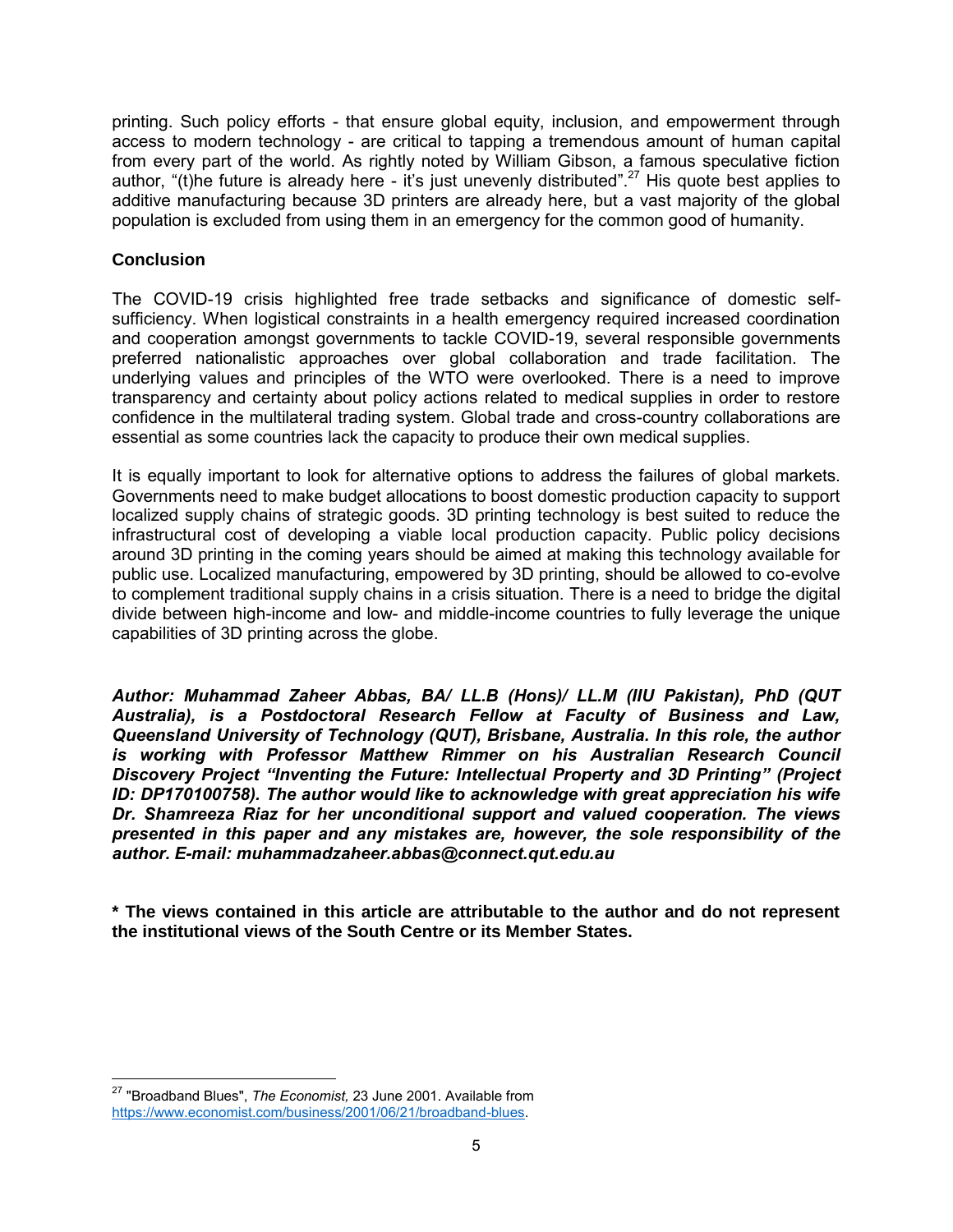printing. Such policy efforts - that ensure global equity, inclusion, and empowerment through access to modern technology - are critical to tapping a tremendous amount of human capital from every part of the world. As rightly noted by William Gibson, a famous speculative fiction author, "(t)he future is already here - it's just unevenly distributed".<sup>27</sup> His quote best applies to additive manufacturing because 3D printers are already here, but a vast majority of the global population is excluded from using them in an emergency for the common good of humanity.

## **Conclusion**

 $\overline{\phantom{a}}$ 

The COVID-19 crisis highlighted free trade setbacks and significance of domestic selfsufficiency. When logistical constraints in a health emergency required increased coordination and cooperation amongst governments to tackle COVID-19, several responsible governments preferred nationalistic approaches over global collaboration and trade facilitation. The underlying values and principles of the WTO were overlooked. There is a need to improve transparency and certainty about policy actions related to medical supplies in order to restore confidence in the multilateral trading system. Global trade and cross-country collaborations are essential as some countries lack the capacity to produce their own medical supplies.

It is equally important to look for alternative options to address the failures of global markets. Governments need to make budget allocations to boost domestic production capacity to support localized supply chains of strategic goods. 3D printing technology is best suited to reduce the infrastructural cost of developing a viable local production capacity. Public policy decisions around 3D printing in the coming years should be aimed at making this technology available for public use. Localized manufacturing, empowered by 3D printing, should be allowed to co-evolve to complement traditional supply chains in a crisis situation. There is a need to bridge the digital divide between high-income and low- and middle-income countries to fully leverage the unique capabilities of 3D printing across the globe.

*Author: Muhammad Zaheer Abbas, BA/ LL.B (Hons)/ LL.M (IIU Pakistan), PhD (QUT Australia), is a Postdoctoral Research Fellow at Faculty of Business and Law, Queensland University of Technology (QUT), Brisbane, Australia. In this role, the author is working with Professor Matthew Rimmer on his Australian Research Council Discovery Project "Inventing the Future: Intellectual Property and 3D Printing" (Project ID: DP170100758). The author would like to acknowledge with great appreciation his wife Dr. Shamreeza Riaz for her unconditional support and valued cooperation. The views presented in this paper and any mistakes are, however, the sole responsibility of the author. E-mail: muhammadzaheer.abbas@connect.qut.edu.au*

**\* The views contained in this article are attributable to the author and do not represent the institutional views of the South Centre or its Member States.** 

<sup>27</sup> "Broadband Blues", *The Economist,* 23 June 2001. Available from https://www.economist.com/business/2001/06/21/broadband-blues.